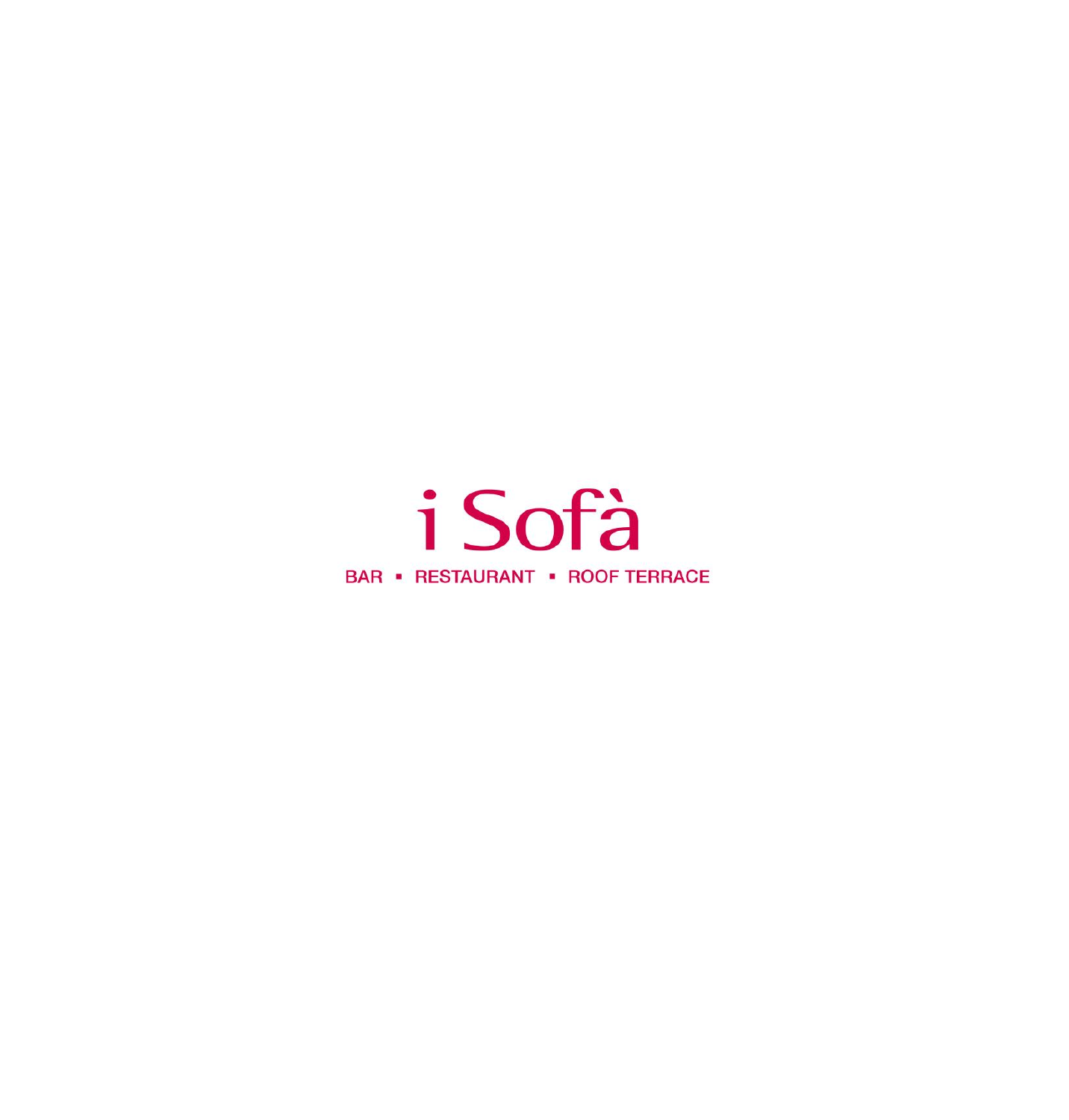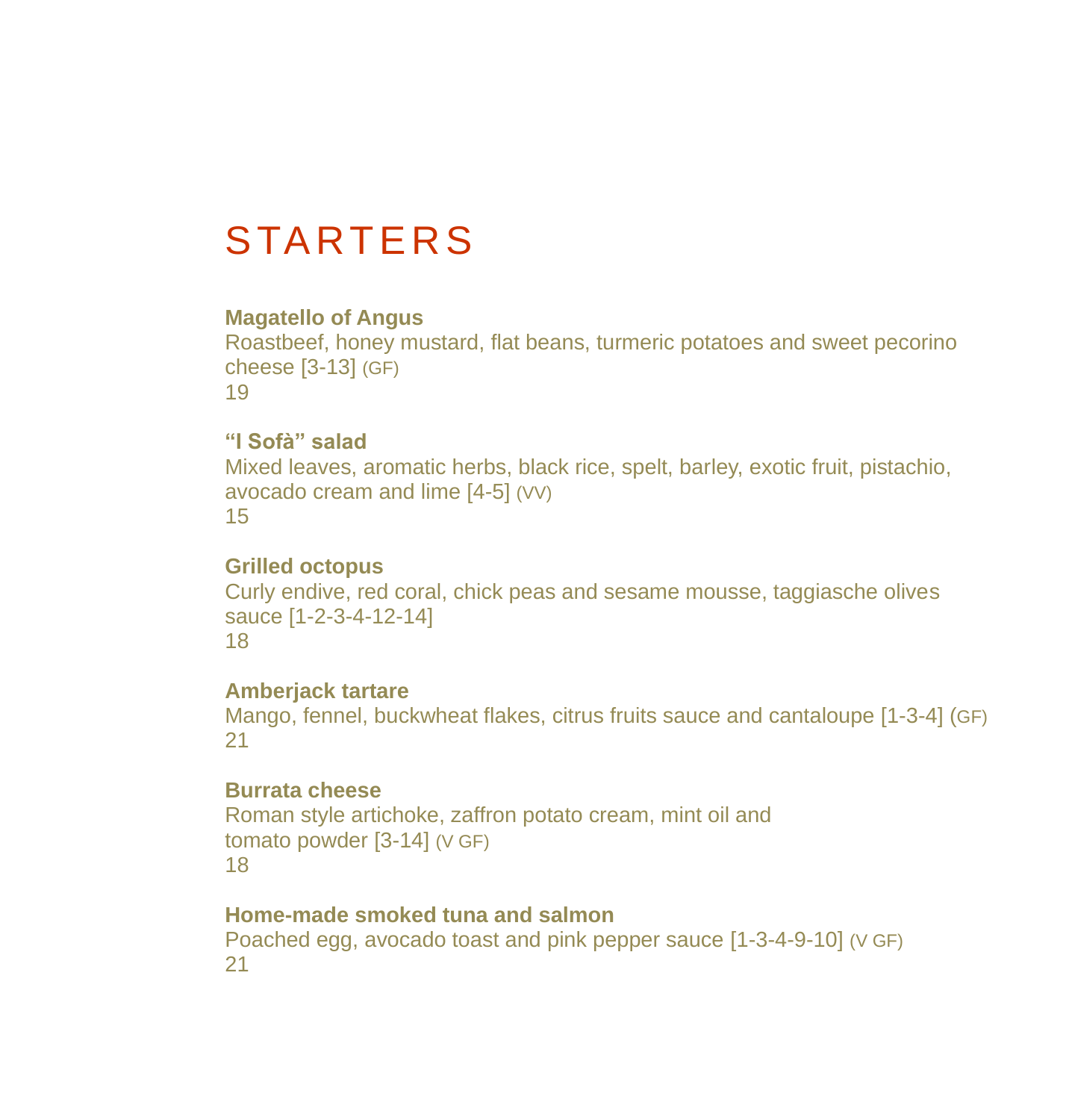# **STARTERS**

#### **Magatello of Angus**

Roastbeef, honey mustard, flat beans, turmeric potatoes and sweet pecorino cheese [3-13] (GF) 19

### **"I Sofà" salad**

Mixed leaves, aromatic herbs, black rice, spelt, barley, exotic fruit, pistachio, avocado cream and lime [4-5] (VV) 15

#### **Grilled octopus**

Curly endive, red coral, chick peas and sesame mousse, taggiasche olives sauce [1-2-3-4-12-14] 18

#### **Amberjack tartare**

Mango, fennel, buckwheat flakes, citrus fruits sauce and cantaloupe [1-3-4] (GF) 21

#### **Burrata cheese**

Roman style artichoke, zaffron potato cream, mint oil and tomato powder [3-14] (V GF) 18

#### **Home-made smoked tuna and salmon**

Poached egg, avocado toast and pink pepper sauce [1-3-4-9-10] (V GF) 21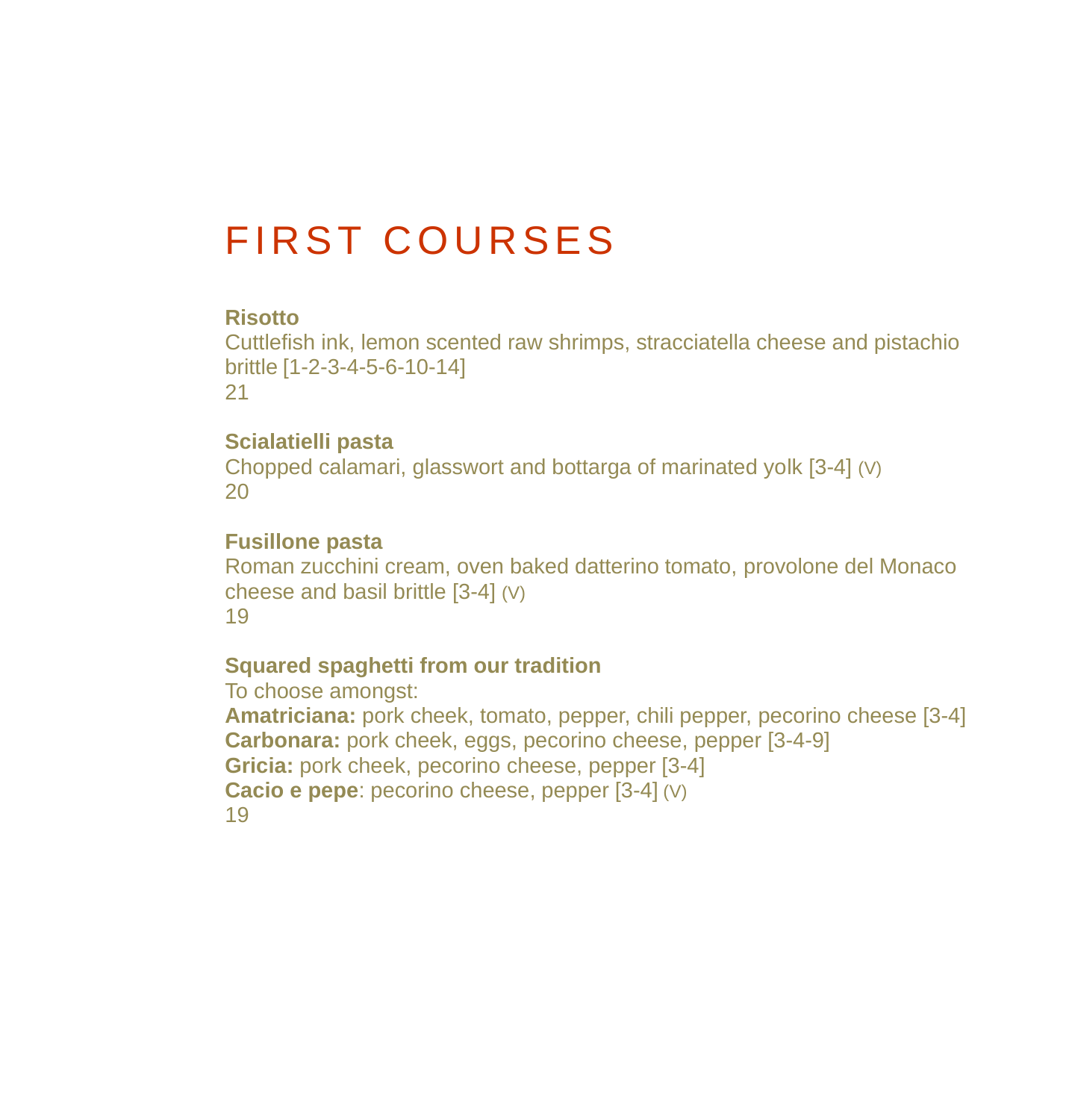## **FIRST COURSES**

#### **Risotto**

Cuttlefish ink, lemon scented raw shrimps, stracciatella cheese and pistachio brittle [1-2-3-4-5-6-10-14] 21

#### **Scialatielli pasta**

Chopped calamari, glasswort and bottarga of marinated yolk [3-4] (V) 20

#### **Fusillone pasta**

Roman zucchini cream, oven baked datterino tomato, provolone del Monaco cheese and basil brittle [3-4] (V) 19

#### **Squared spaghetti from our tradition**

To choose amongst: **Amatriciana:** pork cheek, tomato, pepper, chili pepper, pecorino cheese [3-4] **Carbonara:** pork cheek, eggs, pecorino cheese, pepper [3-4-9] **Gricia:** pork cheek, pecorino cheese, pepper [3-4] **Cacio e pepe**: pecorino cheese, pepper [3-4] (V) 19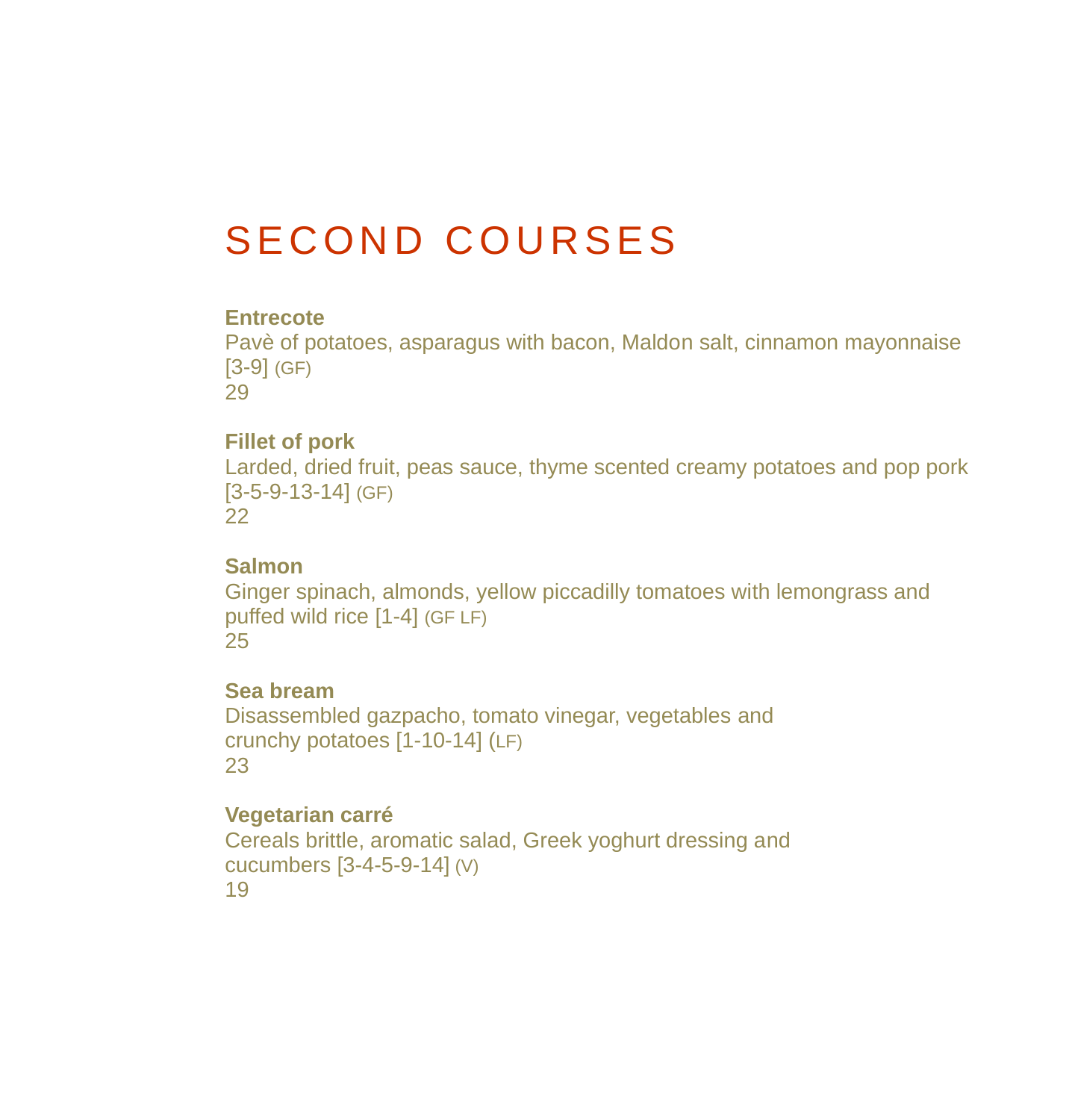# SECOND COURSES

#### **Entrecote**

Pavè of potatoes, asparagus with bacon, Maldon salt, cinnamon mayonnaise [3-9] (GF) 29

#### **Fillet of pork**

Larded, dried fruit, peas sauce, thyme scented creamy potatoes and pop pork [3-5-9-13-14] (GF) 22

#### **Salmon**

Ginger spinach, almonds, yellow piccadilly tomatoes with lemongrass and puffed wild rice [1-4] (GF LF) 25

#### **Sea bream**

Disassembled gazpacho, tomato vinegar, vegetables and crunchy potatoes [1-10-14] (LF) 23

#### **Vegetarian carré**

Cereals brittle, aromatic salad, Greek yoghurt dressing and cucumbers [3-4-5-9-14] (V) 19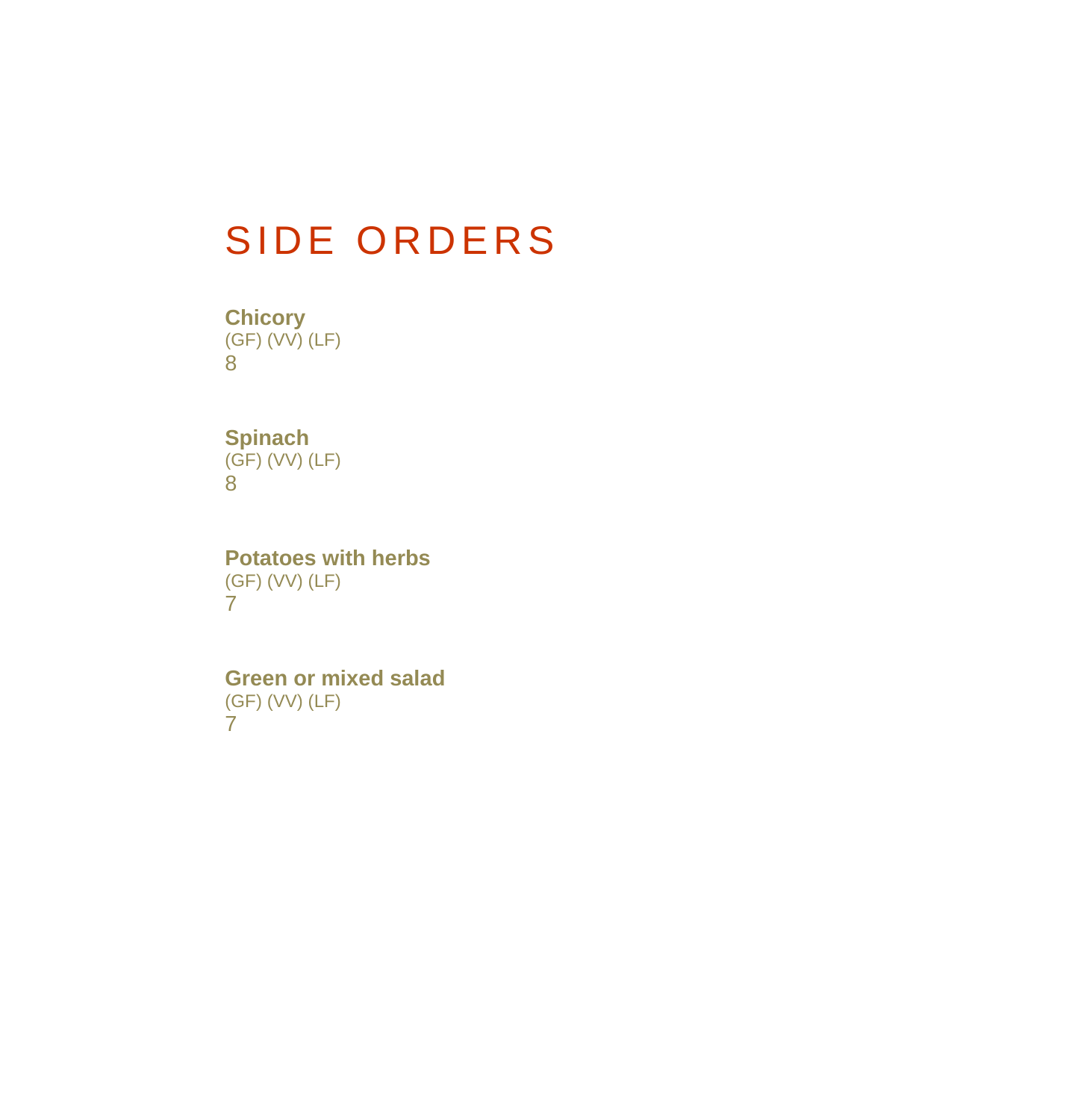## SIDE ORDERS

**Chicory** (GF) (VV) (LF) 8

#### **Spinach** (GF) (VV) (LF) 8

**Potatoes with herbs** (GF) (VV) (LF) 7

**Green or mixed salad** (GF) (VV) (LF) 7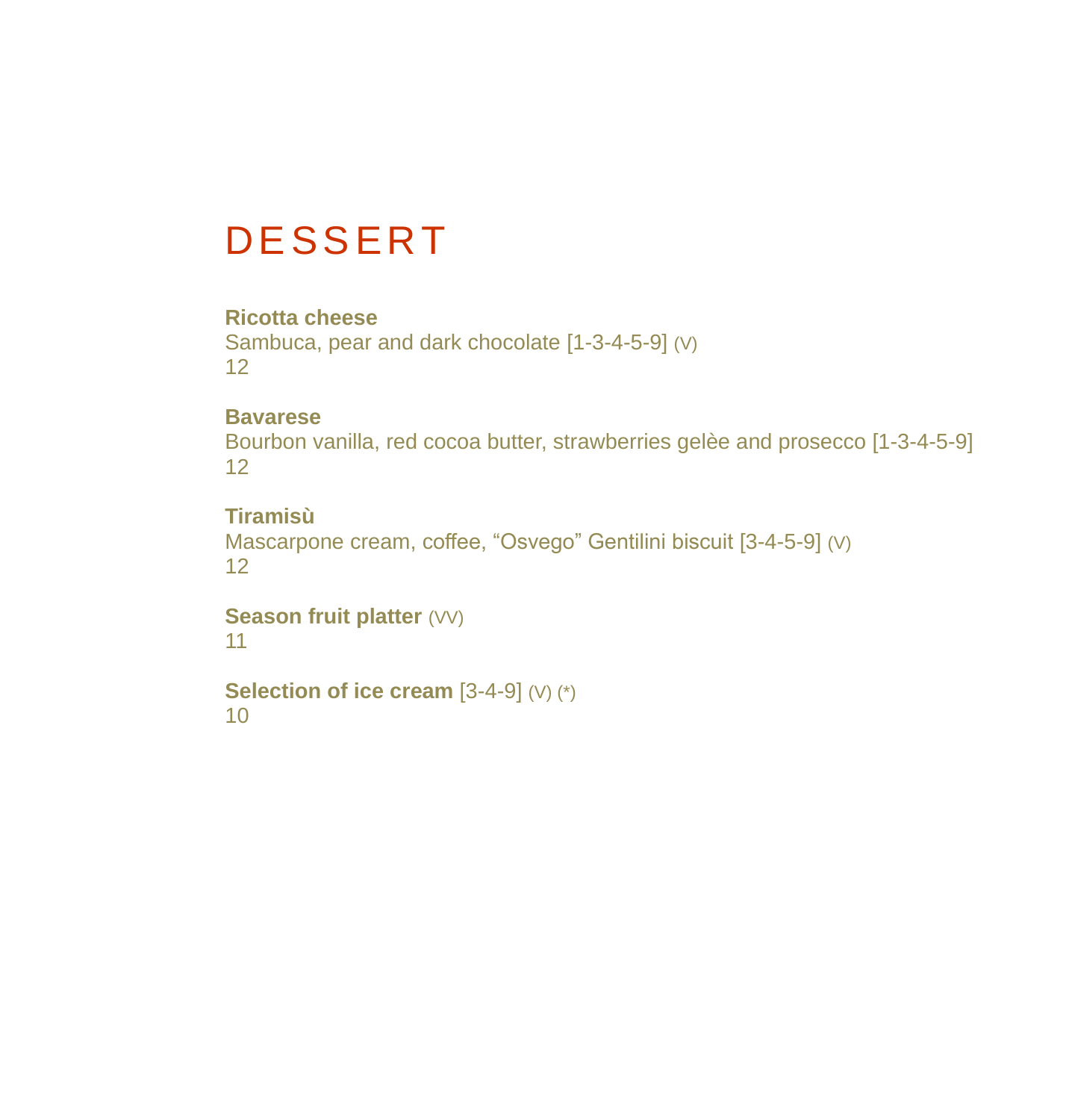## **DESSERT**

#### **Ricotta cheese**

Sambuca, pear and dark chocolate [1-3-4-5-9] (V) 12

#### **Bavarese**

Bourbon vanilla, red cocoa butter, strawberries gelèe and prosecco [1-3-4-5-9] 12

### **Tiramisù**

```
Mascarpone cream, coffee, "Osvego" Gentilini biscuit [3-4-5-9] (V)
12
```
**Season fruit platter** (VV) 11

**Selection of ice cream** [3-4-9] (V) (\*) 10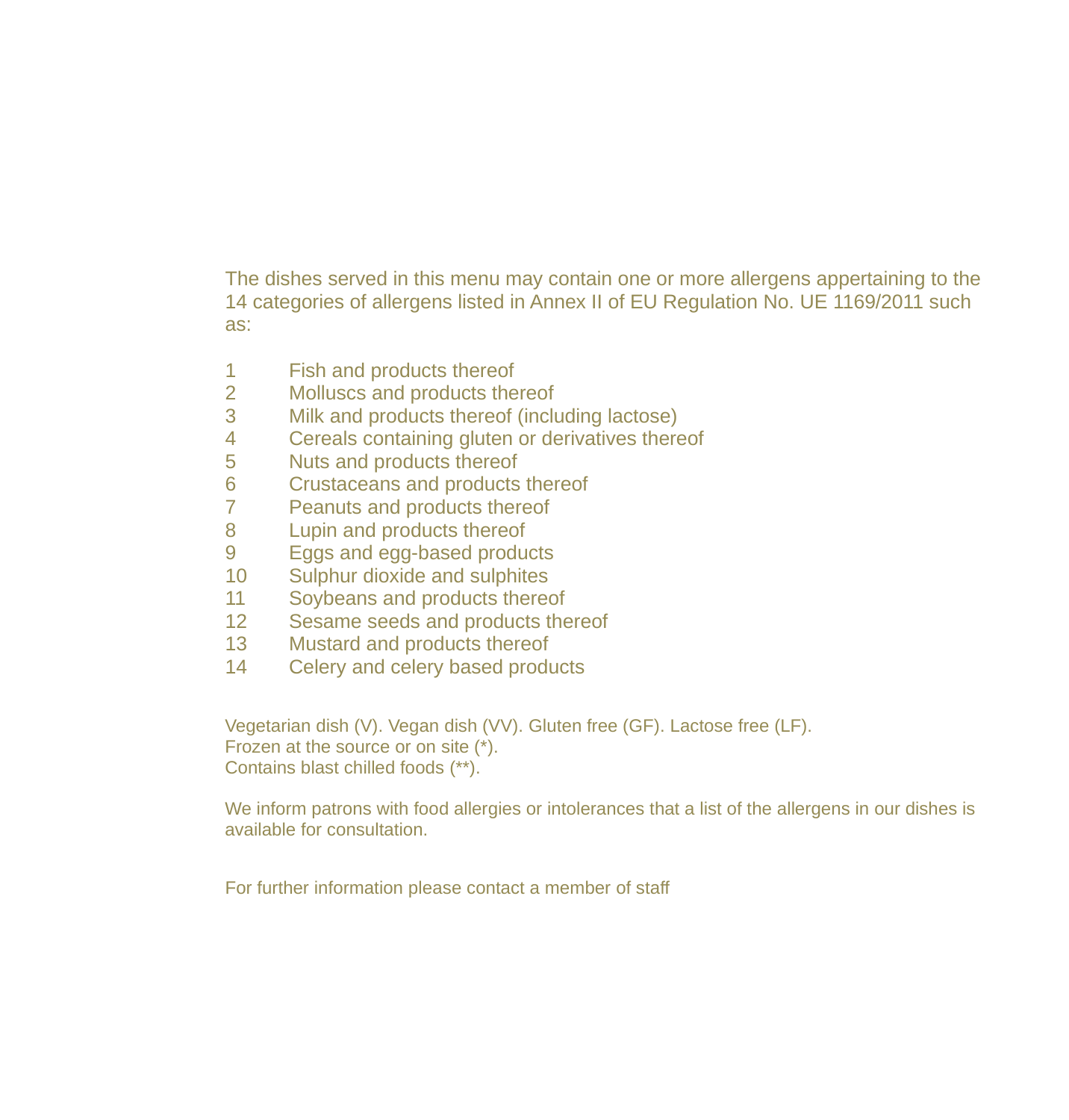The dishes served in this menu may contain one or more allergens appertaining to the 14 categories of allergens listed in Annex II of EU Regulation No. UE 1169/2011 such as:

- Fish and products thereof
- Molluscs and products thereof
- Milk and products thereof (including lactose)
- Cereals containing gluten or derivatives thereof
- Nuts and products thereof
- Crustaceans and products thereof
- Peanuts and products thereof
- Lupin and products thereof
- Eggs and egg-based products
- Sulphur dioxide and sulphites
- Soybeans and products thereof
- Sesame seeds and products thereof
- Mustard and products thereof
- Celery and celery based products

Vegetarian dish (V). Vegan dish (VV). Gluten free (GF). Lactose free (LF). Frozen at the source or on site (\*). Contains blast chilled foods (\*\*).

We inform patrons with food allergies or intolerances that a list of the allergens in our dishes is available for consultation.

For further information please contact a member of staff